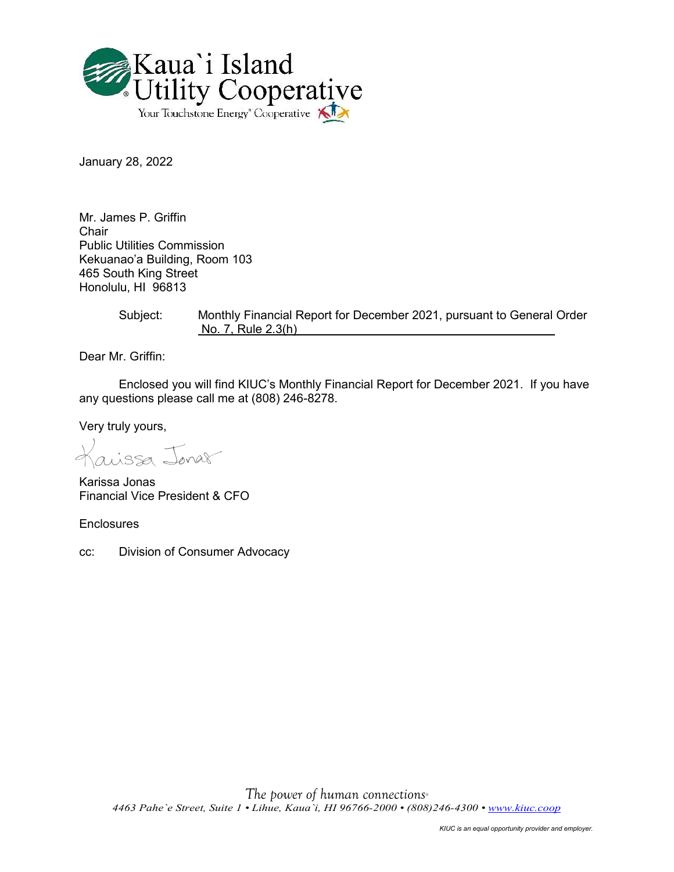

January 28, 2022

Mr. James P. Griffin Chair Public Utilities Commission Kekuanao'a Building, Room 103 465 South King Street Honolulu, HI 96813

> Subject: Monthly Financial Report for December 2021, pursuant to General Order No. 7, Rule 2.3(h)

Dear Mr. Griffin:

Enclosed you will find KIUC's Monthly Financial Report for December 2021. If you have any questions please call me at (808) 246-8278.

Very truly yours,

aissa Jonas

Karissa Jonas Financial Vice President & CFO

**Enclosures** 

cc: Division of Consumer Advocacy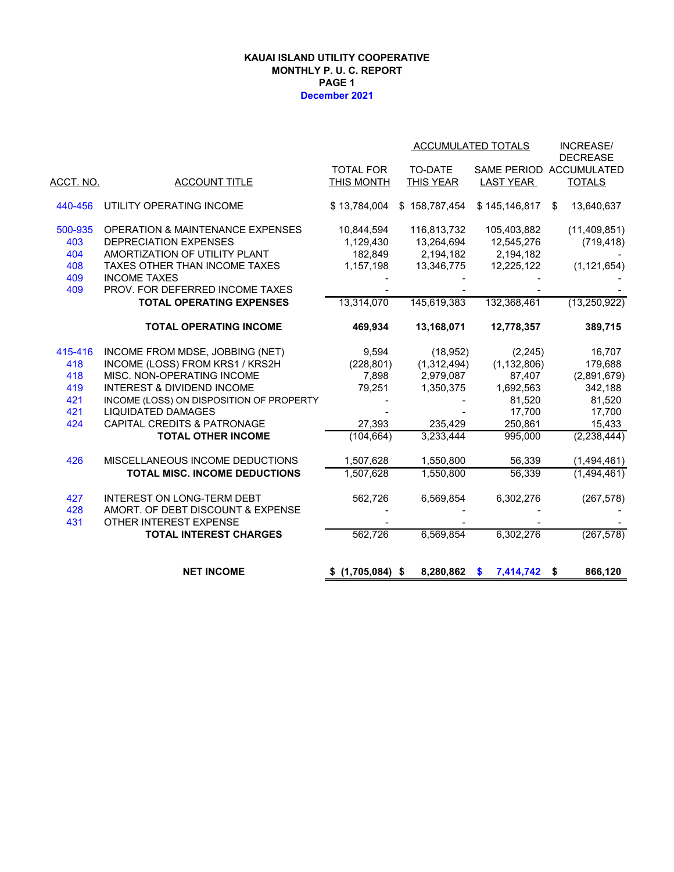#### **KAUAI ISLAND UTILITY COOPERATIVE MONTHLY P. U. C. REPORT PAGE 1 December 2021**

|           |                                             |                   | ACCUMULATED TOTALS |                   | <b>INCREASE/</b><br><b>DECREASE</b> |
|-----------|---------------------------------------------|-------------------|--------------------|-------------------|-------------------------------------|
|           |                                             | <b>TOTAL FOR</b>  | <b>TO-DATE</b>     |                   | SAME PERIOD ACCUMULATED             |
| ACCT. NO. | <b>ACCOUNT TITLE</b>                        | THIS MONTH        | THIS YEAR          | LAST YEAR         | <b>TOTALS</b>                       |
| 440-456   | UTILITY OPERATING INCOME                    | \$13,784,004      | \$158,787,454      | \$145,146,817     | 13,640,637<br>\$                    |
| 500-935   | <b>OPERATION &amp; MAINTENANCE EXPENSES</b> | 10,844,594        | 116,813,732        | 105,403,882       | (11, 409, 851)                      |
| 403       | <b>DEPRECIATION EXPENSES</b>                | 1,129,430         | 13,264,694         | 12,545,276        | (719, 418)                          |
| 404       | AMORTIZATION OF UTILITY PLANT               | 182,849           | 2,194,182          | 2,194,182         |                                     |
| 408       | TAXES OTHER THAN INCOME TAXES               | 1,157,198         | 13,346,775         | 12,225,122        | (1, 121, 654)                       |
| 409       | <b>INCOME TAXES</b>                         |                   |                    |                   |                                     |
| 409       | PROV. FOR DEFERRED INCOME TAXES             |                   |                    |                   |                                     |
|           | <b>TOTAL OPERATING EXPENSES</b>             | 13,314,070        | 145,619,383        | 132,368,461       | (13, 250, 922)                      |
|           | <b>TOTAL OPERATING INCOME</b>               | 469,934           | 13,168,071         | 12,778,357        | 389,715                             |
| 415-416   | INCOME FROM MDSE, JOBBING (NET)             | 9,594             | (18, 952)          | (2, 245)          | 16,707                              |
| 418       | INCOME (LOSS) FROM KRS1 / KRS2H             | (228, 801)        | (1,312,494)        | (1, 132, 806)     | 179,688                             |
| 418       | MISC. NON-OPERATING INCOME                  | 7,898             | 2,979,087          | 87,407            | (2,891,679)                         |
| 419       | <b>INTEREST &amp; DIVIDEND INCOME</b>       | 79,251            | 1,350,375          | 1,692,563         | 342,188                             |
| 421       | INCOME (LOSS) ON DISPOSITION OF PROPERTY    |                   |                    | 81,520            | 81,520                              |
| 421       | <b>LIQUIDATED DAMAGES</b>                   |                   |                    | 17,700            | 17,700                              |
| 424       | <b>CAPITAL CREDITS &amp; PATRONAGE</b>      | 27,393            | 235,429            | 250,861           | 15,433                              |
|           | <b>TOTAL OTHER INCOME</b>                   | (104, 664)        | 3,233,444          | 995,000           | (2, 238, 444)                       |
| 426       | MISCELLANEOUS INCOME DEDUCTIONS             | 1,507,628         | 1,550,800          | 56,339            | (1,494,461)                         |
|           | <b>TOTAL MISC. INCOME DEDUCTIONS</b>        | 1,507,628         | 1,550,800          | 56,339            | (1,494,461)                         |
| 427       | INTEREST ON LONG-TERM DEBT                  | 562,726           | 6,569,854          | 6,302,276         | (267, 578)                          |
| 428       | AMORT. OF DEBT DISCOUNT & EXPENSE           |                   |                    |                   |                                     |
| 431       | OTHER INTEREST EXPENSE                      |                   |                    |                   |                                     |
|           | <b>TOTAL INTEREST CHARGES</b>               | 562,726           | 6,569,854          | 6,302,276         | (267, 578)                          |
|           | <b>NET INCOME</b>                           |                   |                    |                   |                                     |
|           |                                             | $$(1,705,084)$ \$ | 8,280,862          | 7,414,742 \$<br>S | 866,120                             |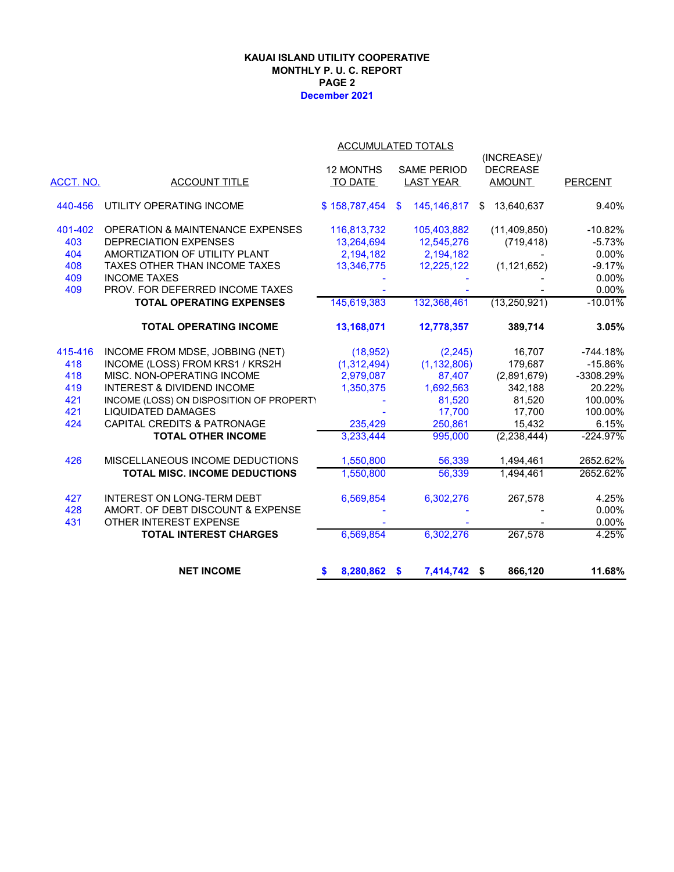#### **December 2021 KAUAI ISLAND UTILITY COOPERATIVE MONTHLY P. U. C. REPORT PAGE 2**

|           | <b>ACCUMULATED TOTALS</b>                   |               |                                |                  |                |  |  |  |  |
|-----------|---------------------------------------------|---------------|--------------------------------|------------------|----------------|--|--|--|--|
|           |                                             |               |                                | (INCREASE)/      |                |  |  |  |  |
|           |                                             | 12 MONTHS     | <b>SAME PERIOD</b>             | <b>DECREASE</b>  |                |  |  |  |  |
| ACCT. NO. | <b>ACCOUNT TITLE</b>                        | TO DATE       | <b>LAST YEAR</b>               | <b>AMOUNT</b>    | <b>PERCENT</b> |  |  |  |  |
| 440-456   | UTILITY OPERATING INCOME                    | \$158,787,454 | 145, 146, 817<br>$\mathbf{\$}$ | 13,640,637<br>\$ | 9.40%          |  |  |  |  |
| 401-402   | <b>OPERATION &amp; MAINTENANCE EXPENSES</b> | 116,813,732   | 105,403,882                    | (11, 409, 850)   | $-10.82%$      |  |  |  |  |
| 403       | <b>DEPRECIATION EXPENSES</b>                | 13,264,694    | 12,545,276                     | (719, 418)       | $-5.73%$       |  |  |  |  |
| 404       | AMORTIZATION OF UTILITY PLANT               | 2,194,182     | 2,194,182                      |                  | 0.00%          |  |  |  |  |
| 408       | TAXES OTHER THAN INCOME TAXES               | 13,346,775    | 12,225,122                     | (1, 121, 652)    | $-9.17%$       |  |  |  |  |
| 409       | <b>INCOME TAXES</b>                         |               |                                |                  | 0.00%          |  |  |  |  |
| 409       | PROV. FOR DEFERRED INCOME TAXES             |               |                                |                  | 0.00%          |  |  |  |  |
|           | <b>TOTAL OPERATING EXPENSES</b>             | 145,619,383   | 132,368,461                    | (13, 250, 921)   | $-10.01%$      |  |  |  |  |
|           | <b>TOTAL OPERATING INCOME</b>               | 13,168,071    | 12,778,357                     | 389,714          | 3.05%          |  |  |  |  |
| 415-416   | INCOME FROM MDSE, JOBBING (NET)             | (18, 952)     | (2, 245)                       | 16,707           | $-744.18%$     |  |  |  |  |
| 418       | INCOME (LOSS) FROM KRS1 / KRS2H             | (1,312,494)   | (1, 132, 806)                  | 179,687          | $-15.86%$      |  |  |  |  |
| 418       | MISC. NON-OPERATING INCOME                  | 2,979,087     | 87,407                         | (2,891,679)      | -3308.29%      |  |  |  |  |
| 419       | INTEREST & DIVIDEND INCOME                  | 1,350,375     | 1,692,563                      | 342,188          | 20.22%         |  |  |  |  |
| 421       | INCOME (LOSS) ON DISPOSITION OF PROPERT)    |               | 81,520                         | 81,520           | 100.00%        |  |  |  |  |
| 421       | <b>LIQUIDATED DAMAGES</b>                   |               | 17,700                         | 17,700           | 100.00%        |  |  |  |  |
| 424       | <b>CAPITAL CREDITS &amp; PATRONAGE</b>      | 235,429       | 250,861                        | 15,432           | 6.15%          |  |  |  |  |
|           | <b>TOTAL OTHER INCOME</b>                   | 3,233,444     | 995,000                        | (2, 238, 444)    | $-224.97%$     |  |  |  |  |
| 426       | MISCELLANEOUS INCOME DEDUCTIONS             | 1,550,800     | 56,339                         | 1,494,461        | 2652.62%       |  |  |  |  |
|           | TOTAL MISC. INCOME DEDUCTIONS               | 1,550,800     | 56,339                         | 1,494,461        | 2652.62%       |  |  |  |  |
| 427       | <b>INTEREST ON LONG-TERM DEBT</b>           | 6,569,854     | 6,302,276                      | 267,578          | 4.25%          |  |  |  |  |
| 428       | AMORT. OF DEBT DISCOUNT & EXPENSE           |               |                                |                  | 0.00%          |  |  |  |  |
| 431       | OTHER INTEREST EXPENSE                      |               |                                |                  | 0.00%          |  |  |  |  |
|           | <b>TOTAL INTEREST CHARGES</b>               | 6,569,854     | 6,302,276                      | 267,578          | 4.25%          |  |  |  |  |
|           | <b>NET INCOME</b>                           | 8,280,862 \$  | 7,414,742 \$                   | 866,120          | 11.68%         |  |  |  |  |
|           |                                             |               |                                |                  |                |  |  |  |  |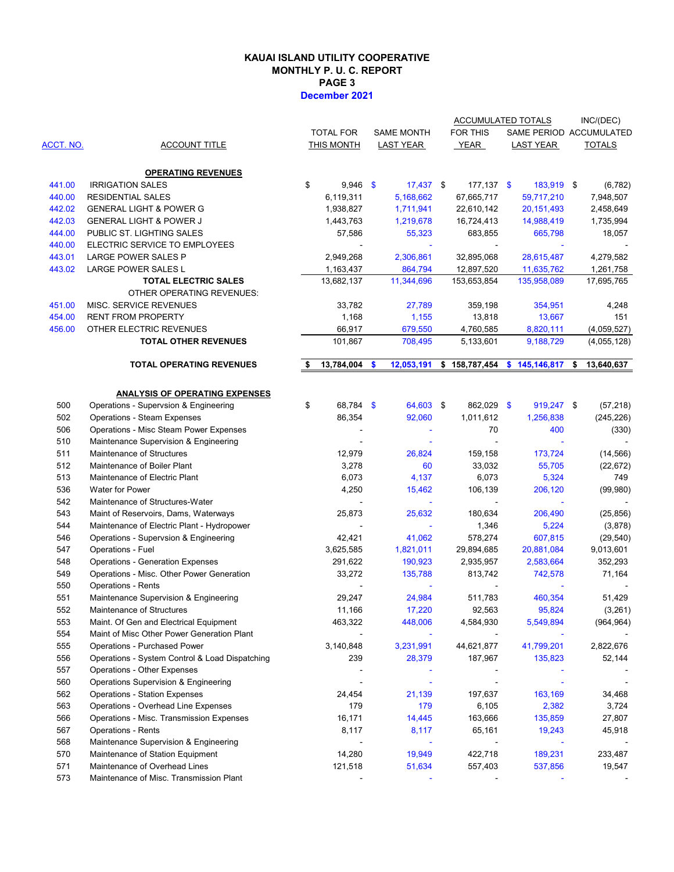#### **KAUAI ISLAND UTILITY COOPERATIVE MONTHLY P. U. C. REPORT PAGE 3 December 2021**

|           |                                                 |                  |               |                   | <b>ACCUMULATED TOTALS</b>     |                         | INC/(DEC)        |
|-----------|-------------------------------------------------|------------------|---------------|-------------------|-------------------------------|-------------------------|------------------|
|           |                                                 | <b>TOTAL FOR</b> |               | <b>SAME MONTH</b> | FOR THIS                      | SAME PERIOD ACCUMULATED |                  |
| ACCT. NO. | <b>ACCOUNT TITLE</b>                            | THIS MONTH       |               | LAST YEAR         | YEAR                          | <b>LAST YEAR</b>        | <b>TOTALS</b>    |
|           |                                                 |                  |               |                   |                               |                         |                  |
|           | <b>OPERATING REVENUES</b>                       |                  |               |                   |                               |                         |                  |
| 441.00    | <b>IRRIGATION SALES</b>                         | \$<br>$9,946$ \$ |               | $17,437$ \$       | $177,137$ \$                  | 183,919 \$              | (6, 782)         |
| 440.00    | <b>RESIDENTIAL SALES</b>                        | 6,119,311        |               | 5,168,662         | 67,665,717                    | 59,717,210              | 7,948,507        |
| 442.02    | <b>GENERAL LIGHT &amp; POWER G</b>              | 1,938,827        |               | 1,711,941         | 22,610,142                    | 20, 151, 493            | 2,458,649        |
| 442.03    | <b>GENERAL LIGHT &amp; POWER J</b>              | 1,443,763        |               | 1,219,678         | 16,724,413                    | 14,988,419              | 1,735,994        |
| 444.00    | PUBLIC ST. LIGHTING SALES                       | 57,586           |               | 55,323            | 683,855                       | 665,798                 | 18,057           |
| 440.00    | ELECTRIC SERVICE TO EMPLOYEES                   |                  |               |                   |                               |                         |                  |
| 443.01    | LARGE POWER SALES P                             | 2,949,268        |               | 2,306,861         | 32,895,068                    | 28,615,487              | 4,279,582        |
| 443.02    | LARGE POWER SALES L                             | 1,163,437        |               | 864,794           | 12,897,520                    | 11,635,762              | 1,261,758        |
|           | <b>TOTAL ELECTRIC SALES</b>                     | 13,682,137       |               | 11,344,696        | 153,653,854                   | 135,958,089             |                  |
|           |                                                 |                  |               |                   |                               |                         | 17,695,765       |
|           | OTHER OPERATING REVENUES:                       |                  |               |                   |                               |                         |                  |
| 451.00    | MISC. SERVICE REVENUES                          | 33,782           |               | 27,789            | 359,198                       | 354,951                 | 4,248            |
| 454.00    | <b>RENT FROM PROPERTY</b>                       | 1,168            |               | 1,155             | 13,818                        | 13,667                  | 151              |
| 456.00    | OTHER ELECTRIC REVENUES                         | 66,917           |               | 679,550           | 4,760,585                     | 8,820,111               | (4,059,527)      |
|           | <b>TOTAL OTHER REVENUES</b>                     | 101,867          |               | 708,495           | 5,133,601                     | 9,188,729               | (4,055,128)      |
|           | <b>TOTAL OPERATING REVENUES</b>                 | 13,784,004       | $\mathbf{\$}$ | 12,053,191        | $$158,787,454$ $$145,146,817$ |                         | \$<br>13,640,637 |
|           |                                                 |                  |               |                   |                               |                         |                  |
|           | <b>ANALYSIS OF OPERATING EXPENSES</b>           |                  |               |                   |                               |                         |                  |
| 500       | Operations - Supervsion & Engineering           | \$<br>68,784 \$  |               | 64,603 \$         | 862,029 \$                    | 919,247 \$              | (57, 218)        |
| 502       | <b>Operations - Steam Expenses</b>              | 86,354           |               | 92,060            | 1,011,612                     | 1,256,838               | (245, 226)       |
|           | Operations - Misc Steam Power Expenses          |                  |               |                   | 70                            |                         |                  |
| 506       |                                                 |                  |               | $\blacksquare$    |                               | 400                     | (330)            |
| 510       | Maintenance Supervision & Engineering           |                  |               |                   |                               |                         |                  |
| 511       | Maintenance of Structures                       | 12,979           |               | 26,824            | 159,158                       | 173,724                 | (14, 566)        |
| 512       | Maintenance of Boiler Plant                     | 3,278            |               | 60                | 33,032                        | 55,705                  | (22, 672)        |
| 513       | Maintenance of Electric Plant                   | 6,073            |               | 4,137             | 6,073                         | 5,324                   | 749              |
| 536       | Water for Power                                 | 4,250            |               | 15,462            | 106,139                       | 206,120                 | (99, 980)        |
| 542       | Maintenance of Structures-Water                 |                  |               | ٠                 | ÷,                            |                         |                  |
| 543       | Maint of Reservoirs, Dams, Waterways            | 25,873           |               | 25,632            | 180,634                       | 206,490                 | (25, 856)        |
| 544       | Maintenance of Electric Plant - Hydropower      | $\blacksquare$   |               |                   | 1,346                         | 5,224                   | (3,878)          |
| 546       | Operations - Supervsion & Engineering           | 42,421           |               | 41,062            | 578,274                       | 607,815                 | (29, 540)        |
| 547       | Operations - Fuel                               | 3,625,585        |               | 1,821,011         | 29,894,685                    | 20,881,084              | 9,013,601        |
| 548       | <b>Operations - Generation Expenses</b>         | 291,622          |               | 190,923           | 2,935,957                     | 2,583,664               | 352,293          |
| 549       | Operations - Misc. Other Power Generation       | 33,272           |               | 135,788           | 813,742                       | 742,578                 | 71,164           |
| 550       | <b>Operations - Rents</b>                       |                  |               |                   |                               |                         |                  |
| 551       | Maintenance Supervision & Engineering           | 29,247           |               | 24,984            | 511,783                       | 460,354                 | 51,429           |
| 552       | Maintenance of Structures                       | 11,166           |               | 17,220            | 92,563                        | 95,824                  | (3,261)          |
| 553       | Maint. Of Gen and Electrical Equipment          | 463,322          |               | 448,006           | 4,584,930                     | 5,549,894               | (964, 964)       |
| 554       | Maint of Misc Other Power Generation Plant      |                  |               |                   |                               |                         |                  |
| 555       | Operations - Purchased Power                    | 3,140,848        |               | 3,231,991         | 44,621,877                    | 41,799,201              | 2,822,676        |
| 556       | Operations - System Control & Load Dispatching  | 239              |               | 28,379            | 187,967                       | 135,823                 | 52,144           |
| 557       | Operations - Other Expenses                     |                  |               |                   |                               |                         |                  |
|           |                                                 |                  |               |                   |                               |                         |                  |
| 560       | Operations Supervision & Engineering            |                  |               |                   |                               |                         |                  |
| 562       | <b>Operations - Station Expenses</b>            | 24,454           |               | 21,139            | 197,637                       | 163,169                 | 34,468           |
| 563       | Operations - Overhead Line Expenses             | 179              |               | 179               | 6,105                         | 2,382                   | 3,724            |
| 566       | <b>Operations - Misc. Transmission Expenses</b> | 16,171           |               | 14,445            | 163,666                       | 135,859                 | 27,807           |
| 567       | <b>Operations - Rents</b>                       | 8,117            |               | 8,117             | 65,161                        | 19,243                  | 45,918           |
| 568       | Maintenance Supervision & Engineering           |                  |               |                   |                               |                         |                  |
| 570       | Maintenance of Station Equipment                | 14,280           |               | 19,949            | 422,718                       | 189,231                 | 233,487          |
| 571       | Maintenance of Overhead Lines                   | 121,518          |               | 51,634            | 557,403                       | 537,856                 | 19,547           |
| 573       | Maintenance of Misc. Transmission Plant         |                  |               |                   |                               |                         |                  |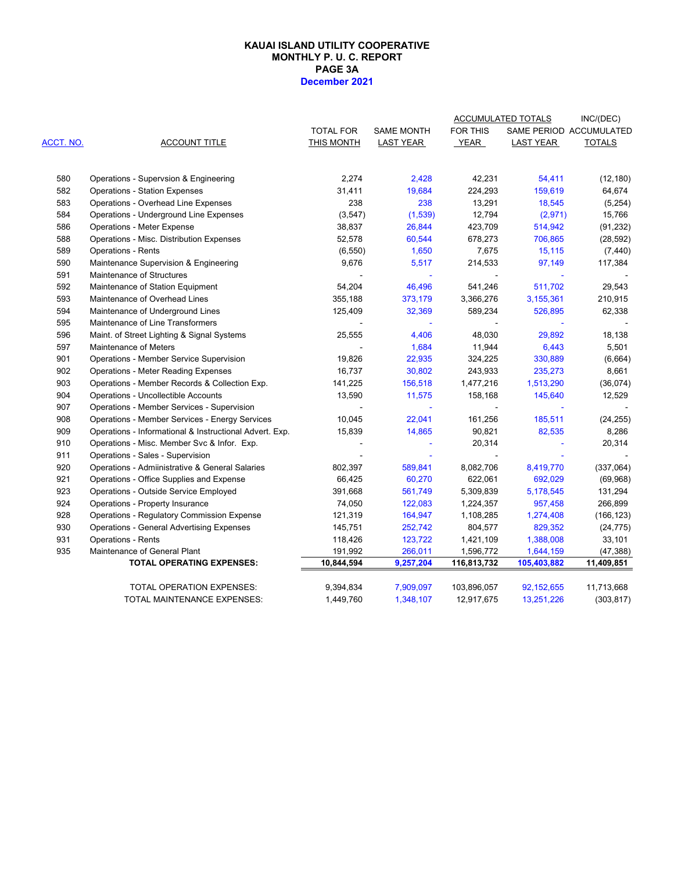#### **PAGE 3A December 2021 KAUAI ISLAND UTILITY COOPERATIVE MONTHLY P. U. C. REPORT**

|           |                                                         |                  |                   |                 | <b>ACCUMULATED TOTALS</b> | INC/(DEC)               |
|-----------|---------------------------------------------------------|------------------|-------------------|-----------------|---------------------------|-------------------------|
|           |                                                         | <b>TOTAL FOR</b> | <b>SAME MONTH</b> | <b>FOR THIS</b> |                           | SAME PERIOD ACCUMULATED |
| ACCT. NO. | <b>ACCOUNT TITLE</b>                                    | THIS MONTH       | <b>LAST YEAR</b>  | YEAR            | <b>LAST YEAR</b>          | <b>TOTALS</b>           |
| 580       | Operations - Supervsion & Engineering                   | 2,274            | 2,428             | 42,231          | 54,411                    | (12, 180)               |
| 582       | <b>Operations - Station Expenses</b>                    | 31,411           | 19,684            | 224,293         | 159,619                   | 64,674                  |
| 583       | Operations - Overhead Line Expenses                     | 238              | 238               | 13,291          | 18,545                    | (5,254)                 |
| 584       | Operations - Underground Line Expenses                  | (3,547)          | (1,539)           | 12,794          | (2,971)                   | 15,766                  |
| 586       | <b>Operations - Meter Expense</b>                       | 38,837           | 26,844            | 423,709         | 514,942                   | (91, 232)               |
| 588       | Operations - Misc. Distribution Expenses                | 52,578           | 60,544            | 678,273         | 706,865                   | (28, 592)               |
| 589       | <b>Operations - Rents</b>                               | (6, 550)         | 1,650             | 7,675           | 15,115                    | (7, 440)                |
| 590       | Maintenance Supervision & Engineering                   | 9,676            | 5,517             | 214,533         | 97,149                    | 117,384                 |
| 591       | Maintenance of Structures                               |                  | ä,                | $\blacksquare$  |                           |                         |
| 592       | Maintenance of Station Equipment                        | 54,204           | 46,496            | 541,246         | 511,702                   | 29,543                  |
| 593       | Maintenance of Overhead Lines                           | 355,188          | 373,179           | 3,366,276       | 3,155,361                 | 210,915                 |
| 594       | Maintenance of Underground Lines                        | 125,409          | 32,369            | 589,234         | 526,895                   | 62,338                  |
| 595       | Maintenance of Line Transformers                        |                  |                   |                 |                           |                         |
| 596       | Maint. of Street Lighting & Signal Systems              | 25,555           | 4,406             | 48,030          | 29,892                    | 18,138                  |
| 597       | Maintenance of Meters                                   |                  | 1,684             | 11,944          | 6,443                     | 5,501                   |
| 901       | Operations - Member Service Supervision                 | 19,826           | 22,935            | 324,225         | 330,889                   | (6,664)                 |
| 902       | <b>Operations - Meter Reading Expenses</b>              | 16,737           | 30,802            | 243,933         | 235,273                   | 8,661                   |
| 903       | Operations - Member Records & Collection Exp.           | 141,225          | 156,518           | 1,477,216       | 1,513,290                 | (36,074)                |
| 904       | <b>Operations - Uncollectible Accounts</b>              | 13,590           | 11,575            | 158,168         | 145,640                   | 12,529                  |
| 907       | Operations - Member Services - Supervision              |                  | $\blacksquare$    |                 |                           |                         |
| 908       | Operations - Member Services - Energy Services          | 10,045           | 22,041            | 161,256         | 185,511                   | (24, 255)               |
| 909       | Operations - Informational & Instructional Advert. Exp. | 15,839           | 14,865            | 90,821          | 82,535                    | 8,286                   |
| 910       | Operations - Misc. Member Svc & Infor. Exp.             |                  |                   | 20,314          |                           | 20,314                  |
| 911       | Operations - Sales - Supervision                        |                  |                   |                 |                           |                         |
| 920       | Operations - Admiinistrative & General Salaries         | 802,397          | 589,841           | 8,082,706       | 8,419,770                 | (337,064)               |
| 921       | Operations - Office Supplies and Expense                | 66,425           | 60,270            | 622,061         | 692,029                   | (69,968)                |
| 923       | Operations - Outside Service Employed                   | 391,668          | 561,749           | 5,309,839       | 5,178,545                 | 131,294                 |
| 924       | Operations - Property Insurance                         | 74,050           | 122,083           | 1,224,357       | 957,458                   | 266,899                 |
| 928       | <b>Operations - Regulatory Commission Expense</b>       | 121,319          | 164,947           | 1,108,285       | 1,274,408                 | (166, 123)              |
| 930       | <b>Operations - General Advertising Expenses</b>        | 145,751          | 252,742           | 804,577         | 829,352                   | (24, 775)               |
| 931       | <b>Operations - Rents</b>                               | 118,426          | 123,722           | 1,421,109       | 1,388,008                 | 33,101                  |
| 935       | Maintenance of General Plant                            | 191,992          | 266,011           | 1,596,772       | 1,644,159                 | (47, 388)               |
|           | <b>TOTAL OPERATING EXPENSES:</b>                        | 10,844,594       | 9,257,204         | 116,813,732     | 105,403,882               | 11,409,851              |
|           | TOTAL OPERATION EXPENSES:                               | 9,394,834        | 7,909,097         | 103,896,057     | 92, 152, 655              | 11,713,668              |
|           | TOTAL MAINTENANCE EXPENSES:                             | 1,449,760        | 1,348,107         | 12,917,675      | 13,251,226                | (303, 817)              |
|           |                                                         |                  |                   |                 |                           |                         |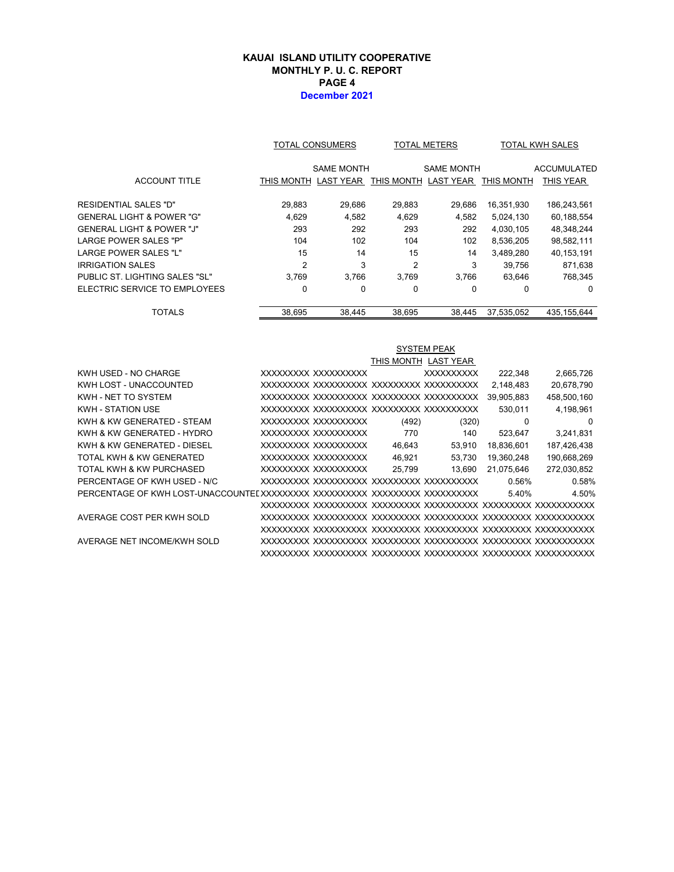#### **KAUAI ISLAND UTILITY COOPERATIVE MONTHLY P. U. C. REPORT PAGE 4 December 2021**

|                                |                | TOTAL CONSUMERS<br><b>TOTAL METERS</b> |                | <b>TOTAL KWH SALES</b> |            |                    |
|--------------------------------|----------------|----------------------------------------|----------------|------------------------|------------|--------------------|
|                                |                | <b>SAME MONTH</b>                      |                | <b>SAME MONTH</b>      |            | <b>ACCUMULATED</b> |
| <b>ACCOUNT TITLE</b>           | THIS MONTH     | <b>LAST YEAR</b>                       | THIS MONTH     | <b>LAST YEAR</b>       | THIS MONTH | <b>THIS YEAR</b>   |
| RESIDENTIAL SALES "D"          | 29,883         | 29,686                                 | 29,883         | 29,686                 | 16,351,930 | 186,243,561        |
| GENERAL LIGHT & POWER "G"      | 4.629          | 4,582                                  | 4,629          | 4,582                  | 5.024.130  | 60,188,554         |
| GENERAL LIGHT & POWER "J"      | 293            | 292                                    | 293            | 292                    | 4,030,105  | 48,348,244         |
| <b>LARGE POWER SALES "P"</b>   | 104            | 102                                    | 104            | 102                    | 8,536,205  | 98,582,111         |
| LARGE POWER SALES "L"          | 15             | 14                                     | 15             | 14                     | 3,489,280  | 40,153,191         |
| IRRIGATION SALES               | $\overline{2}$ | 3                                      | $\overline{2}$ | 3                      | 39.756     | 871,638            |
| PUBLIC ST. LIGHTING SALES "SL" | 3.769          | 3.766                                  | 3.769          | 3.766                  | 63,646     | 768,345            |
| ELECTRIC SERVICE TO EMPLOYEES  | 0              | 0                                      | $\Omega$       | 0                      | 0          | $\Omega$           |
| <b>TOTALS</b>                  | 38.695         | 38.445                                 | 38.695         | 38.445                 | 37.535.052 | 435.155.644        |

|                              | <b>SYSTEM PEAK</b> |                     |        |                      |            |             |  |
|------------------------------|--------------------|---------------------|--------|----------------------|------------|-------------|--|
|                              |                    |                     |        | THIS MONTH LAST YEAR |            |             |  |
| KWH USED - NO CHARGE         |                    | XXXXXXXX XXXXXXXXXX |        | <b>XXXXXXXXXX</b>    | 222.348    | 2,665,726   |  |
| KWH LOST - UNACCOUNTED       |                    |                     |        |                      | 2,148,483  | 20,678,790  |  |
| KWH - NET TO SYSTEM          |                    |                     |        |                      | 39,905,883 | 458,500,160 |  |
| <b>KWH - STATION USE</b>     |                    |                     |        |                      | 530,011    | 4,198,961   |  |
| KWH & KW GENERATED - STEAM   |                    | XXXXXXXX XXXXXXXXXX | (492)  | (320)                | $\Omega$   | 0           |  |
| KWH & KW GENERATED - HYDRO   |                    | XXXXXXXX XXXXXXXXXX | 770    | 140                  | 523,647    | 3,241,831   |  |
| KWH & KW GENERATED - DIESEL  |                    | XXXXXXXX XXXXXXXXXX | 46,643 | 53,910               | 18,836,601 | 187,426,438 |  |
| TOTAL KWH & KW GENERATED     |                    | XXXXXXXX XXXXXXXXXX | 46,921 | 53,730               | 19,360,248 | 190,668,269 |  |
| TOTAL KWH & KW PURCHASED     |                    | XXXXXXXX XXXXXXXXXX | 25.799 | 13.690               | 21,075,646 | 272,030,852 |  |
| PERCENTAGE OF KWH USED - N/C |                    |                     |        |                      | 0.56%      | 0.58%       |  |
|                              |                    |                     |        |                      | 5.40%      | 4.50%       |  |
|                              |                    |                     |        |                      |            |             |  |
| AVERAGE COST PER KWH SOLD    |                    |                     |        |                      |            |             |  |
|                              |                    |                     |        |                      |            |             |  |
| AVERAGE NET INCOME/KWH SOLD  |                    |                     |        |                      |            |             |  |
|                              |                    |                     |        |                      |            |             |  |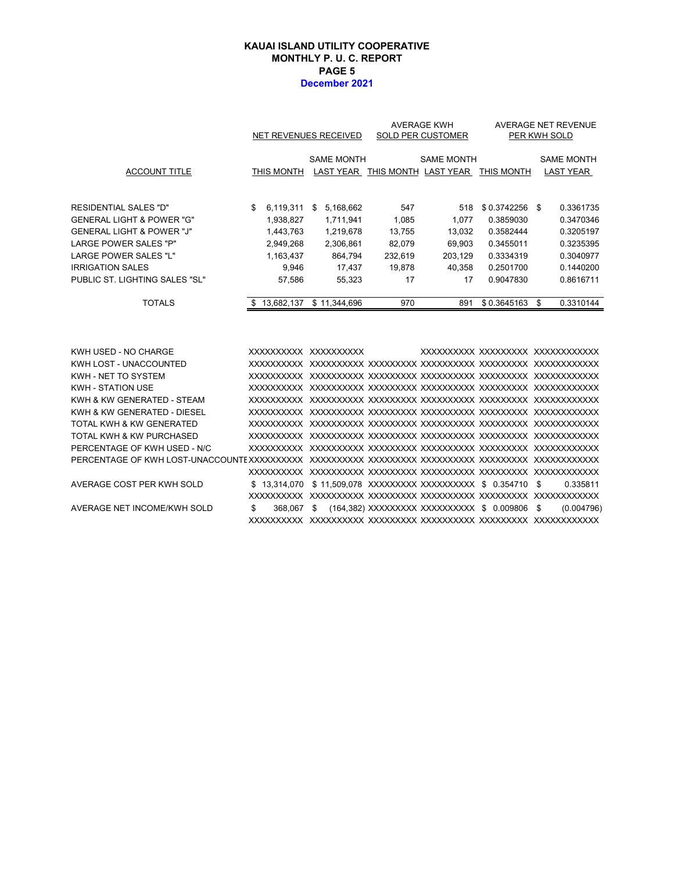#### **PAGE 5 December 2021 KAUAI ISLAND UTILITY COOPERATIVE MONTHLY P. U. C. REPORT**

|                                                                                                                                                                                                                                           |                                                                                        | NET REVENUES RECEIVED                                                                 | <b>AVERAGE KWH</b><br>SOLD PER CUSTOMER                     |                                                             |                                                                                           | AVERAGE NET REVENUE<br>PER KWH SOLD                                                            |  |
|-------------------------------------------------------------------------------------------------------------------------------------------------------------------------------------------------------------------------------------------|----------------------------------------------------------------------------------------|---------------------------------------------------------------------------------------|-------------------------------------------------------------|-------------------------------------------------------------|-------------------------------------------------------------------------------------------|------------------------------------------------------------------------------------------------|--|
| <b>ACCOUNT TITLE</b>                                                                                                                                                                                                                      | THIS MONTH                                                                             | <b>SAME MONTH</b>                                                                     |                                                             | <b>SAME MONTH</b><br>LAST YEAR THIS MONTH LAST YEAR         | THIS MONTH                                                                                | <b>SAME MONTH</b><br><b>LAST YEAR</b>                                                          |  |
| <b>RESIDENTIAL SALES "D"</b><br><b>GENERAL LIGHT &amp; POWER "G"</b><br><b>GENERAL LIGHT &amp; POWER "J"</b><br><b>LARGE POWER SALES "P"</b><br><b>LARGE POWER SALES "L"</b><br><b>IRRIGATION SALES</b><br>PUBLIC ST. LIGHTING SALES "SL" | \$<br>6,119,311<br>1,938,827<br>1,443,763<br>2,949,268<br>1,163,437<br>9,946<br>57.586 | 5,168,662<br>\$<br>1,711,941<br>1,219,678<br>2,306,861<br>864,794<br>17,437<br>55,323 | 547<br>1,085<br>13,755<br>82,079<br>232,619<br>19,878<br>17 | 518<br>1,077<br>13,032<br>69,903<br>203,129<br>40,358<br>17 | \$0.3742256<br>0.3859030<br>0.3582444<br>0.3455011<br>0.3334319<br>0.2501700<br>0.9047830 | 0.3361735<br>-\$<br>0.3470346<br>0.3205197<br>0.3235395<br>0.3040977<br>0.1440200<br>0.8616711 |  |
| <b>TOTALS</b>                                                                                                                                                                                                                             | 13,682,137<br>\$                                                                       | \$11,344,696                                                                          | 970                                                         | 891                                                         | \$0.3645163                                                                               | 0.3310144<br>\$                                                                                |  |
| KWH USED - NO CHARGE<br>KWH LOST - UNACCOUNTED<br>KWH - NET TO SYSTEM<br>KWH - STATION USE<br>KWH & KW GENERATED - STEAM<br>KWH & KW GENERATED - DIESEL<br>TOTAL KWH & KW GENERATED                                                       |                                                                                        | XXXXXXXXXX XXXXXXXXXX                                                                 |                                                             |                                                             |                                                                                           | XXXXXXXXX XXXXXXXXX XXXXXXXXXXX                                                                |  |

| TOTAL KWH & KW PURCHASED     |                                                              |                                                          |  |  |  |            |
|------------------------------|--------------------------------------------------------------|----------------------------------------------------------|--|--|--|------------|
| PERCENTAGE OF KWH USED - N/C |                                                              |                                                          |  |  |  |            |
|                              |                                                              |                                                          |  |  |  |            |
|                              |                                                              |                                                          |  |  |  |            |
| AVERAGE COST PER KWH SOLD    | \$13.314.070 \$11.509.078 XXXXXXXXX XXXXXXXXXX \$0.354710 \$ |                                                          |  |  |  | 0.335811   |
|                              |                                                              |                                                          |  |  |  |            |
| AVERAGE NET INCOME/KWH SOLD  |                                                              | 368,067 \$ (164,382) XXXXXXXXX XXXXXXXXXX \$ 0.009806 \$ |  |  |  | (0.004796) |
|                              |                                                              |                                                          |  |  |  |            |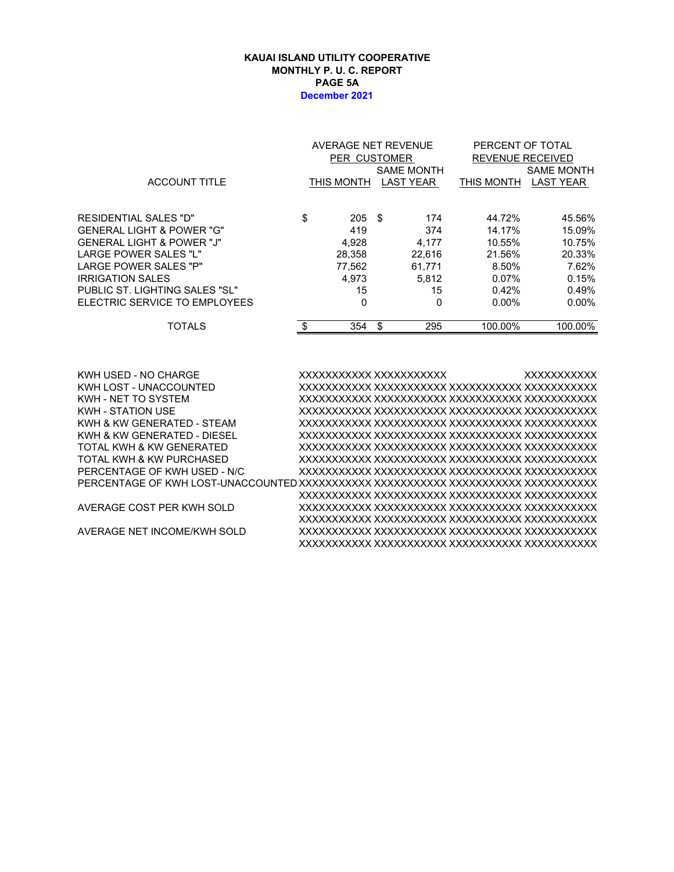#### **KAUAI ISLAND UTILITY COOPERATIVE MONTHLY P. U. C. REPORT PAGE 5A December 2021**

|                                | AVERAGE NET REVENUE     |    |                   | PERCENT OF TOTAL        |                   |  |  |
|--------------------------------|-------------------------|----|-------------------|-------------------------|-------------------|--|--|
|                                | PER CUSTOMER            |    |                   | <b>REVENUE RECEIVED</b> |                   |  |  |
|                                |                         |    | <b>SAME MONTH</b> |                         | <b>SAME MONTH</b> |  |  |
| <b>ACCOUNT TITLE</b>           | THIS MONTH              |    | <b>LAST YEAR</b>  | THIS MONTH              | <b>LAST YEAR</b>  |  |  |
|                                |                         |    |                   |                         |                   |  |  |
| RESIDENTIAL SALES "D"          | \$<br>$205 \text{ } $s$ |    | 174               | 44.72%                  | 45.56%            |  |  |
| GENERAL LIGHT & POWER "G"      | 419                     |    | 374               | 14.17%                  | 15.09%            |  |  |
| GENERAL LIGHT & POWER "J"      | 4,928                   |    | 4.177             | 10.55%                  | 10.75%            |  |  |
| LARGE POWER SALES "L"          | 28,358                  |    | 22,616            | 21.56%                  | 20.33%            |  |  |
| LARGE POWER SALES "P"          | 77,562                  |    | 61,771            | 8.50%                   | 7.62%             |  |  |
| IRRIGATION SALES               | 4.973                   |    | 5.812             | 0.07%                   | 0.15%             |  |  |
| PUBLIC ST. LIGHTING SALES "SL" | 15                      |    | 15                | 0.42%                   | 0.49%             |  |  |
| ELECTRIC SERVICE TO EMPLOYEES  | 0                       |    | 0                 | $0.00\%$                | $0.00\%$          |  |  |
| <b>TOTALS</b>                  | \$<br>354               | \$ | 295               | 100.00%                 | 100.00%           |  |  |
|                                |                         |    |                   |                         |                   |  |  |

KWH USED - NO CHARGE XXXXXXXXXXX XXXXXXXXXXX XXXXXXXXXXX KWH LOST - UNACCOUNTED XXXXXXXXXXX XXXXXXXXXXX XXXXXXXXXXX XXXXXXXXXXX KWH - NET TO SYSTEM XXXXXXXXXXX XXXXXXXXXXX XXXXXXXXXXX XXXXXXXXXXX KWH - STATION USE XXXXXXXXXXX XXXXXXXXXXX XXXXXXXXXXX XXXXXXXXXXX KWH & KW GENERATED - STEAM XXXXXXXXXXX XXXXXXXXXXX XXXXXXXXXXX XXXXXXXXXXX KWH & KW GENERATED - DIESEL XXXXXXXXXXX XXXXXXXXXXX XXXXXXXXXXX XXXXXXXXXXX TOTAL KWH & KW GENERATED XXXXXXXXXXX XXXXXXXXXXX XXXXXXXXXXX XXXXXXXXXXX TOTAL KWH & KW PURCHASED XXXXXXXXXXX XXXXXXXXXXX XXXXXXXXXXX XXXXXXXXXXX PERCENTAGE OF KWH USED - N/C XXXXXXXXXXX XXXXXXXXXXX XXXXXXXXXXX XXXXXXXXXXX PERCENTAGE OF KWH LOST-UNACCOUNTED XXXXXXXXXXX XXXXXXXXXXX XXXXXXXXXXX XXXXXXXXXXX XXXXXXXXXXX XXXXXXXXXXX XXXXXXXXXXX XXXXXXXXXXX AVERAGE COST PER KWH SOLD XXXXXXXXXXX XXXXXXXXXXX XXXXXXXXXXX XXXXXXXXXXX XXXXXXXXXXX XXXXXXXXXXX XXXXXXXXXXX XXXXXXXXXXX AVERAGE NET INCOME/KWH SOLD XXXXXXXXXXX XXXXXXXXXXX XXXXXXXXXXX XXXXXXXXXXX XXXXXXXXXXX XXXXXXXXXXX XXXXXXXXXXX XXXXXXXXXXX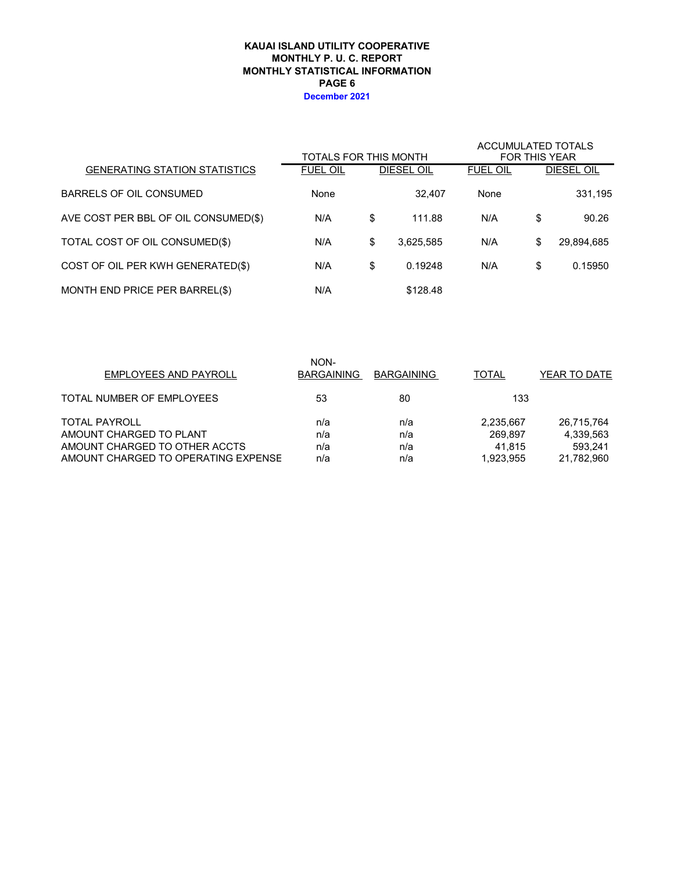#### **KAUAI ISLAND UTILITY COOPERATIVE MONTHLY STATISTICAL INFORMATION MONTHLY P. U. C. REPORT PAGE 6 December 2021**

|                                      | TOTALS FOR THIS MONTH |    | <b>ACCUMULATED TOTALS</b><br><b>FOR THIS YEAR</b> |                 |    |            |
|--------------------------------------|-----------------------|----|---------------------------------------------------|-----------------|----|------------|
| <b>GENERATING STATION STATISTICS</b> | <b>FUEL OIL</b>       |    | DIESEL OIL                                        | <b>FUEL OIL</b> |    | DIESEL OIL |
| BARRELS OF OIL CONSUMED              | None                  |    | 32.407                                            | None            |    | 331,195    |
| AVE COST PER BBL OF OIL CONSUMED(\$) | N/A                   | \$ | 111.88                                            | N/A             | \$ | 90.26      |
| TOTAL COST OF OIL CONSUMED(\$)       | N/A                   | \$ | 3,625,585                                         | N/A             | \$ | 29,894,685 |
| COST OF OIL PER KWH GENERATED(\$)    | N/A                   | \$ | 0.19248                                           | N/A             | \$ | 0.15950    |
| MONTH END PRICE PER BARREL(\$)       | N/A                   |    | \$128.48                                          |                 |    |            |

| <b>EMPLOYEES AND PAYROLL</b>        | NON-<br><b>BARGAINING</b> | <b>BARGAINING</b> | TOTAL     | YEAR TO DATE |
|-------------------------------------|---------------------------|-------------------|-----------|--------------|
| TOTAL NUMBER OF EMPLOYEES           | 53                        | 80                | 133       |              |
| <b>TOTAL PAYROLL</b>                | n/a                       | n/a               | 2,235,667 | 26,715,764   |
| AMOUNT CHARGED TO PLANT             | n/a                       | n/a               | 269.897   | 4,339,563    |
| AMOUNT CHARGED TO OTHER ACCTS       | n/a                       | n/a               | 41.815    | 593.241      |
| AMOUNT CHARGED TO OPERATING EXPENSE | n/a                       | n/a               | 1.923.955 | 21,782,960   |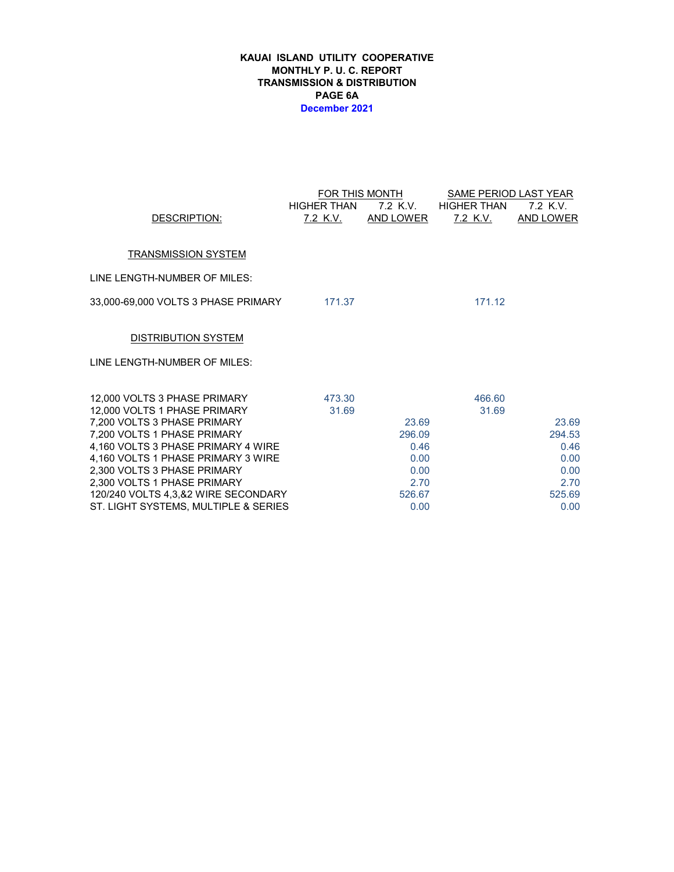#### **KAUAI ISLAND UTILITY COOPERATIVE MONTHLY P. U. C. REPORT TRANSMISSION & DISTRIBUTION PAGE 6A December 2021**

|                                                            |                    | FOR THIS MONTH   | SAME PERIOD LAST YEAR |                  |  |  |  |
|------------------------------------------------------------|--------------------|------------------|-----------------------|------------------|--|--|--|
|                                                            | <b>HIGHER THAN</b> | 7.2 K.V.         | HIGHER THAN           | 7.2 K.V.         |  |  |  |
| DESCRIPTION:                                               | <u>7.2 K.V.</u>    | <u>AND LOWER</u> | <u>7.2 K.V.</u>       | <b>AND LOWER</b> |  |  |  |
|                                                            |                    |                  |                       |                  |  |  |  |
| <b>TRANSMISSION SYSTEM</b>                                 |                    |                  |                       |                  |  |  |  |
| LINE LENGTH-NUMBER OF MILES:                               |                    |                  |                       |                  |  |  |  |
| 33,000-69,000 VOLTS 3 PHASE PRIMARY 171.37                 |                    |                  | 171.12                |                  |  |  |  |
| <b>DISTRIBUTION SYSTEM</b>                                 |                    |                  |                       |                  |  |  |  |
| LINE LENGTH-NUMBER OF MILES:                               |                    |                  |                       |                  |  |  |  |
| 12,000 VOLTS 3 PHASE PRIMARY                               | 473.30             |                  | 466.60                |                  |  |  |  |
| 12,000 VOLTS 1 PHASE PRIMARY                               | 31.69              |                  | 31.69                 |                  |  |  |  |
| 7,200 VOLTS 3 PHASE PRIMARY                                |                    | 23.69            |                       | 23.69            |  |  |  |
| 7,200 VOLTS 1 PHASE PRIMARY                                |                    | 296.09           |                       | 294.53           |  |  |  |
| 4,160 VOLTS 3 PHASE PRIMARY 4 WIRE                         |                    | 0.46             |                       | 0.46             |  |  |  |
| 4,160 VOLTS 1 PHASE PRIMARY 3 WIRE                         |                    | 0.00<br>0.00     |                       | 0.00             |  |  |  |
| 2,300 VOLTS 3 PHASE PRIMARY<br>2,300 VOLTS 1 PHASE PRIMARY |                    | 2.70             |                       | 0.00<br>2.70     |  |  |  |
| 120/240 VOLTS 4,3,&2 WIRE SECONDARY                        |                    | 526.67           |                       | 525.69           |  |  |  |
| ST. LIGHT SYSTEMS, MULTIPLE & SERIES                       |                    | 0.00             |                       | 0.00             |  |  |  |
|                                                            |                    |                  |                       |                  |  |  |  |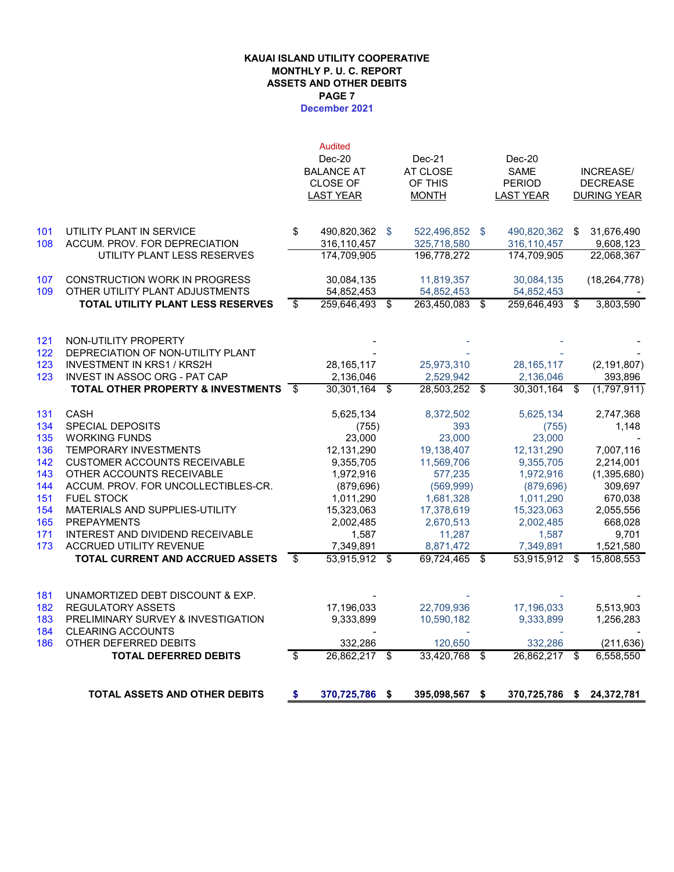# **KAUAI ISLAND UTILITY COOPERATIVE MONTHLY P. U. C. REPORT ASSETS AND OTHER DEBITS PAGE 7**

## **December 2021**

|            | <b>TOTAL ASSETS AND OTHER DEBITS</b>                         | \$   | 370,725,786                   | - \$ | 395,098,567                   | - \$ | 370,725,786                | - \$                    | 24,372,781               |
|------------|--------------------------------------------------------------|------|-------------------------------|------|-------------------------------|------|----------------------------|-------------------------|--------------------------|
|            | <b>TOTAL DEFERRED DEBITS</b>                                 | \$   | 26,862,217                    | \$   | 33,420,768 \$                 |      | 26,862,217                 | -\$                     | 6,558,550                |
| 186        | OTHER DEFERRED DEBITS                                        |      | 332,286                       |      | 120,650                       |      | 332,286                    |                         | (211, 636)               |
| 184        | <b>CLEARING ACCOUNTS</b>                                     |      |                               |      |                               |      |                            |                         |                          |
| 183        | PRELIMINARY SURVEY & INVESTIGATION                           |      | 9,333,899                     |      | 10,590,182                    |      | 9,333,899                  |                         | 1,256,283                |
| 182        | <b>REGULATORY ASSETS</b>                                     |      | 17,196,033                    |      | 22,709,936                    |      | 17,196,033                 |                         | 5,513,903                |
| 181        | UNAMORTIZED DEBT DISCOUNT & EXP.                             |      |                               |      |                               |      |                            |                         |                          |
|            | <b>TOTAL CURRENT AND ACCRUED ASSETS</b>                      | \$   | 53.915.912                    | \$   | 69,724,465 \$                 |      | 53,915,912                 | \$                      | 15,808,553               |
| 173        | ACCRUED UTILITY REVENUE                                      |      | 7,349,891                     |      | 8,871,472                     |      | 7,349,891                  |                         | 1,521,580                |
| 171        | INTEREST AND DIVIDEND RECEIVABLE                             |      | 1,587                         |      | 11,287                        |      | 1,587                      |                         | 9.701                    |
| 165        | <b>PREPAYMENTS</b>                                           |      | 2,002,485                     |      | 2,670,513                     |      | 2,002,485                  |                         | 668,028                  |
| 154        | MATERIALS AND SUPPLIES-UTILITY                               |      | 15,323,063                    |      | 17,378,619                    |      | 15,323,063                 |                         | 2,055,556                |
| 151        | <b>FUEL STOCK</b>                                            |      | 1,011,290                     |      | 1,681,328                     |      | 1,011,290                  |                         | 670,038                  |
| 144        | ACCUM. PROV. FOR UNCOLLECTIBLES-CR.                          |      | (879, 696)                    |      | (569, 999)                    |      | (879, 696)                 |                         | 309,697                  |
| 143        | OTHER ACCOUNTS RECEIVABLE                                    |      | 1,972,916                     |      | 577,235                       |      | 1,972,916                  |                         | (1, 395, 680)            |
| 142        | <b>CUSTOMER ACCOUNTS RECEIVABLE</b>                          |      | 9,355,705                     |      | 11,569,706                    |      | 9,355,705                  |                         | 2,214,001                |
| 136        | <b>TEMPORARY INVESTMENTS</b>                                 |      | 12,131,290                    |      | 19,138,407                    |      | 12,131,290                 |                         | 7,007,116                |
| 135        | <b>WORKING FUNDS</b>                                         |      | 23,000                        |      | 23,000                        |      | 23,000                     |                         |                          |
| 134        | <b>SPECIAL DEPOSITS</b>                                      |      | (755)                         |      | 393                           |      | (755)                      |                         | 1,148                    |
| 131        | <b>TOTAL OTHER PROPERTY &amp; INVESTMENTS</b><br><b>CASH</b> | - \$ | 30,301,164<br>5,625,134       | \$   | 28,503,252 \$<br>8,372,502    |      | 30,301,164 \$<br>5,625,134 |                         | (1,797,911)<br>2,747,368 |
| 123        | INVEST IN ASSOC ORG - PAT CAP                                |      | 2,136,046                     |      | 2,529,942                     |      | 2,136,046                  |                         | 393,896                  |
| 123        | <b>INVESTMENT IN KRS1 / KRS2H</b>                            |      | 28,165,117                    |      | 25,973,310                    |      | 28, 165, 117               |                         | (2, 191, 807)            |
| 122        | DEPRECIATION OF NON-UTILITY PLANT                            |      |                               |      |                               |      |                            |                         |                          |
| 121        | NON-UTILITY PROPERTY                                         |      |                               |      |                               |      |                            |                         |                          |
|            | TOTAL UTILITY PLANT LESS RESERVES                            | \$   | 259,646,493                   | \$   | 263,450,083 \$                |      | 259,646,493                | $\overline{\mathbf{s}}$ | 3,803,590                |
| 109        | OTHER UTILITY PLANT ADJUSTMENTS                              |      | 54,852,453                    |      | 54,852,453                    |      | 54,852,453                 |                         |                          |
| 107        | <b>CONSTRUCTION WORK IN PROGRESS</b>                         |      | 30,084,135                    |      | 11,819,357                    |      | 30,084,135                 |                         | (18, 264, 778)           |
|            | UTILITY PLANT LESS RESERVES                                  |      | 174,709,905                   |      | 196,778,272                   |      | 174.709.905                |                         | 22,068,367               |
| 101<br>108 | UTILITY PLANT IN SERVICE<br>ACCUM. PROV. FOR DEPRECIATION    | \$   | 490,820,362 \$<br>316,110,457 |      | 522,496,852 \$<br>325,718,580 |      | 490,820,362<br>316,110,457 | \$                      | 31,676,490<br>9,608,123  |
|            |                                                              |      |                               |      |                               |      |                            |                         |                          |
|            |                                                              |      | <b>LAST YEAR</b>              |      | <b>MONTH</b>                  |      | <b>LAST YEAR</b>           |                         | <b>DURING YEAR</b>       |
|            |                                                              |      | <b>CLOSE OF</b>               |      | OF THIS                       |      | <b>PERIOD</b>              |                         | <b>DECREASE</b>          |
|            |                                                              |      | <b>BALANCE AT</b>             |      | AT CLOSE                      |      | <b>SAME</b>                |                         | <b>INCREASE/</b>         |
|            |                                                              |      | Dec-20                        |      | $Dec-21$                      |      | Dec-20                     |                         |                          |
|            |                                                              |      | <b>Audited</b>                |      |                               |      |                            |                         |                          |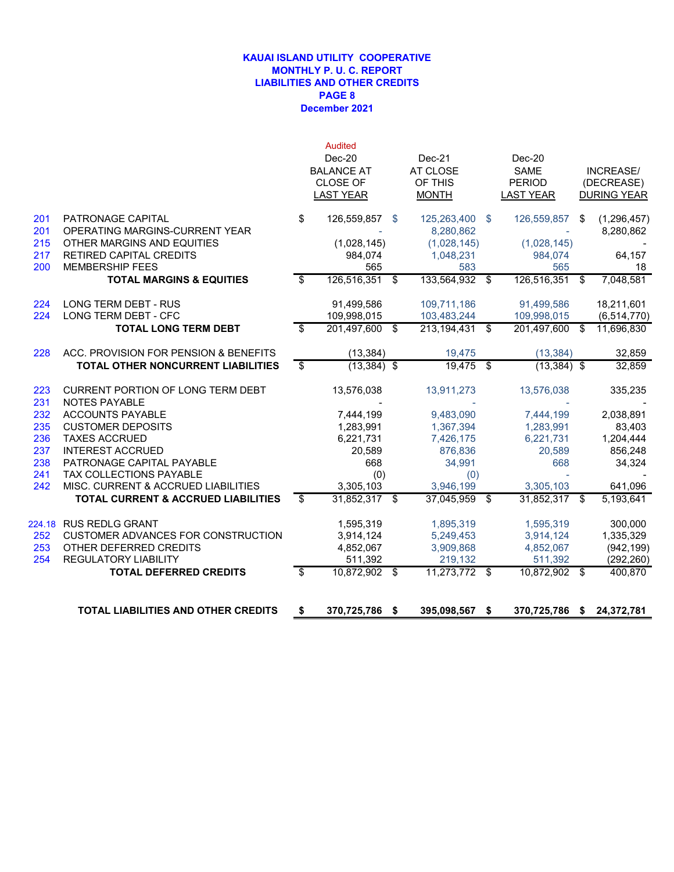#### **December 2021 KAUAI ISLAND UTILITY COOPERATIVE MONTHLY P. U. C. REPORT LIABILITIES AND OTHER CREDITS PAGE 8**

|            | <b>TOTAL LIABILITIES AND OTHER CREDITS</b>                            | \$<br>370,725,786    | - \$ | 395,098,567              | S.  | 370,725,786 \$       |     | 24,372,781               |
|------------|-----------------------------------------------------------------------|----------------------|------|--------------------------|-----|----------------------|-----|--------------------------|
|            |                                                                       |                      |      |                          |     |                      |     |                          |
|            | <b>TOTAL DEFERRED CREDITS</b>                                         | \$<br>10,872,902 \$  |      | 11,273,772 \$            |     | 10,872,902 \$        |     | 400,870                  |
| 253<br>254 | OTHER DEFERRED CREDITS<br><b>REGULATORY LIABILITY</b>                 | 4,852,067<br>511,392 |      | 3,909,868<br>219,132     |     | 4,852,067<br>511,392 |     | (942, 199)<br>(292, 260) |
| 252        | <b>CUSTOMER ADVANCES FOR CONSTRUCTION</b>                             | 3,914,124            |      | 5,249,453                |     | 3,914,124            |     | 1,335,329                |
| 224.18     | <b>RUS REDLG GRANT</b>                                                | 1,595,319            |      | 1,895,319                |     | 1,595,319            |     | 300,000                  |
|            |                                                                       |                      |      |                          |     |                      |     |                          |
|            | TOTAL CURRENT & ACCRUED LIABILITIES                                   | \$<br>31,852,317 \$  |      | 37,045,959               | \$  | 31,852,317 \$        |     | 5,193,641                |
| 241<br>242 | <b>TAX COLLECTIONS PAYABLE</b><br>MISC. CURRENT & ACCRUED LIABILITIES | (0)<br>3,305,103     |      | (0)<br>3,946,199         |     | 3,305,103            |     | 641,096                  |
| 238        | PATRONAGE CAPITAL PAYABLE                                             | 668                  |      | 34,991                   |     | 668                  |     | 34,324                   |
| 237        | <b>INTEREST ACCRUED</b>                                               | 20,589               |      | 876,836                  |     | 20,589               |     | 856,248                  |
| 236        | <b>TAXES ACCRUED</b>                                                  | 6,221,731            |      | 7,426,175                |     | 6,221,731            |     | 1,204,444                |
| 235        | <b>CUSTOMER DEPOSITS</b>                                              | 1,283,991            |      | 1,367,394                |     | 1,283,991            |     | 83,403                   |
| 232        | <b>ACCOUNTS PAYABLE</b>                                               | 7,444,199            |      | 9,483,090                |     | 7,444,199            |     | 2,038,891                |
| 231        | <b>NOTES PAYABLE</b>                                                  |                      |      |                          |     |                      |     |                          |
| 223        | CURRENT PORTION OF LONG TERM DEBT                                     | 13,576,038           |      | 13,911,273               |     | 13,576,038           |     | 335,235                  |
|            | <b>TOTAL OTHER NONCURRENT LIABILITIES</b>                             | \$<br>$(13, 384)$ \$ |      | 19,475                   | \$  | $(13,384)$ \$        |     | 32,859                   |
| 228        | ACC. PROVISION FOR PENSION & BENEFITS                                 | (13, 384)            |      | 19,475                   |     | (13, 384)            |     | 32,859                   |
|            | <b>TOTAL LONG TERM DEBT</b>                                           | \$<br>201,497,600 \$ |      | 213,194,431              | \$  | 201,497,600          | -\$ | 11,696,830               |
| 224        | LONG TERM DEBT - CFC                                                  | 109,998,015          |      | 103,483,244              |     | 109,998,015          |     | (6, 514, 770)            |
| 224        | <b>LONG TERM DEBT - RUS</b>                                           | 91,499,586           |      | 109,711,186              |     | 91.499.586           |     | 18,211,601               |
|            | <b>TOTAL MARGINS &amp; EQUITIES</b>                                   | \$<br>126,516,351 \$ |      | 133,564,932              | \$  | 126,516,351          | \$  | 7,048,581                |
| 200        | <b>MEMBERSHIP FEES</b>                                                | 565                  |      | 583                      |     | 565                  |     | 18                       |
| 217        | RETIRED CAPITAL CREDITS                                               | 984,074              |      | 1,048,231                |     | 984,074              |     | 64,157                   |
| 215        | OTHER MARGINS AND EQUITIES                                            | (1,028,145)          |      | 8,280,862<br>(1,028,145) |     | (1,028,145)          |     | 8,280,862                |
| 201<br>201 | PATRONAGE CAPITAL<br>OPERATING MARGINS-CURRENT YEAR                   | \$<br>126,559,857    | - \$ | 125,263,400              | -\$ | 126,559,857          | \$  | (1,296,457)              |
|            |                                                                       | <b>LAST YEAR</b>     |      | <b>MONTH</b>             |     | <b>LAST YEAR</b>     |     | <b>DURING YEAR</b>       |
|            |                                                                       | CLOSE OF             |      | OF THIS                  |     | <b>PERIOD</b>        |     | (DECREASE)               |
|            |                                                                       | <b>BALANCE AT</b>    |      | AT CLOSE                 |     | <b>SAME</b>          |     | <b>INCREASE/</b>         |
|            |                                                                       | $Dec-20$             |      | $Dec-21$                 |     | $Dec-20$             |     |                          |
|            |                                                                       | <b>Audited</b>       |      |                          |     |                      |     |                          |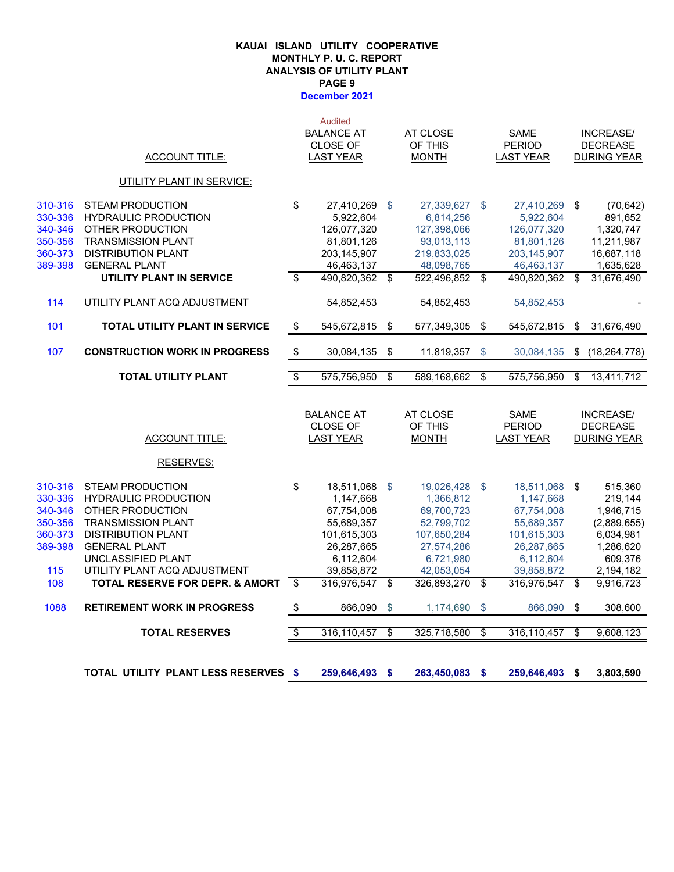#### **December 2021 KAUAI ISLAND UTILITY COOPERATIVE MONTHLY P. U. C. REPORT ANALYSIS OF UTILITY PLANT PAGE 9**

|                    | <b>TOTAL UTILITY PLANT LESS RESERVES</b>          | - \$                     | 259,646,493                         | \$              | 263,450,083               | \$<br>259,646,493                 | \$<br>3,803,590                       |
|--------------------|---------------------------------------------------|--------------------------|-------------------------------------|-----------------|---------------------------|-----------------------------------|---------------------------------------|
|                    | <b>TOTAL RESERVES</b>                             | $\overline{\mathcal{L}}$ | 316,110,457                         | $\overline{\$}$ | 325,718,580               | \$<br>316,110,457                 | \$<br>9,608,123                       |
| 1088               | <b>RETIREMENT WORK IN PROGRESS</b>                | \$                       | 866,090                             | \$              | 1,174,690                 | \$<br>866,090                     | \$<br>308,600                         |
| 108                | <b>TOTAL RESERVE FOR DEPR. &amp; AMORT</b>        | \$                       | 316,976,547                         | \$              | 326,893,270 \$            | 316,976,547                       | \$<br>9,916,723                       |
| 115                | UTILITY PLANT ACQ ADJUSTMENT                      |                          | 39,858,872                          |                 | 42,053,054                | 39,858,872                        | 2,194,182                             |
|                    | UNCLASSIFIED PLANT                                |                          | 6,112,604                           |                 | 6,721,980                 | 6,112,604                         | 609,376                               |
| 389-398            | <b>GENERAL PLANT</b>                              |                          | 26,287,665                          |                 | 27,574,286                | 26,287,665                        | 1,286,620                             |
| 360-373            | <b>DISTRIBUTION PLANT</b>                         |                          | 101,615,303                         |                 | 107,650,284               | 101,615,303                       | 6,034,981                             |
| 340-346<br>350-356 | OTHER PRODUCTION<br><b>TRANSMISSION PLANT</b>     |                          | 67,754,008<br>55,689,357            |                 | 69,700,723<br>52,799,702  | 67,754,008<br>55,689,357          | 1,946,715<br>(2,889,655)              |
| 330-336            | <b>HYDRAULIC PRODUCTION</b>                       |                          | 1,147,668                           |                 | 1,366,812                 | 1,147,668                         | 219,144                               |
| 310-316            | STEAM PRODUCTION                                  | \$                       | 18,511,068                          | \$              | 19,026,428 \$             | 18,511,068                        | \$<br>515,360                         |
|                    | <b>RESERVES:</b>                                  |                          |                                     |                 |                           |                                   |                                       |
|                    | <b>ACCOUNT TITLE:</b>                             |                          | CLOSE OF<br><b>LAST YEAR</b>        |                 | OF THIS<br><b>MONTH</b>   | <b>PERIOD</b><br><b>LAST YEAR</b> | <b>DECREASE</b><br><b>DURING YEAR</b> |
|                    |                                                   |                          | <b>BALANCE AT</b>                   |                 | AT CLOSE                  | <b>SAME</b>                       | <b>INCREASE/</b>                      |
|                    | <b>TOTAL UTILITY PLANT</b>                        | $\overline{\mathcal{S}}$ | 575,756,950                         | \$              | 589,168,662               | \$<br>575,756,950                 | \$<br>13,411,712                      |
| 107                | <b>CONSTRUCTION WORK IN PROGRESS</b>              | $\sqrt[6]{3}$            | 30,084,135                          | \$              | 11,819,357                | \$<br>30,084,135                  | \$<br>(18, 264, 778)                  |
| 101                | <b>TOTAL UTILITY PLANT IN SERVICE</b>             | \$                       | 545,672,815                         | -\$             | 577,349,305               | \$<br>545,672,815                 | \$<br>31,676,490                      |
| 114                | UTILITY PLANT ACQ ADJUSTMENT                      |                          | 54,852,453                          |                 | 54,852,453                | 54,852,453                        |                                       |
|                    | UTILITY PLANT IN SERVICE                          | $\overline{\mathcal{S}}$ | 490,820,362 \$                      |                 | 522,496,852 \$            | 490,820,362                       | \$<br>31,676,490                      |
| 360-373<br>389-398 | <b>DISTRIBUTION PLANT</b><br><b>GENERAL PLANT</b> |                          | 203,145,907<br>46,463,137           |                 | 219,833,025<br>48,098,765 | 203, 145, 907<br>46,463,137       | 16,687,118<br>1,635,628               |
| 350-356            | <b>TRANSMISSION PLANT</b>                         |                          | 81,801,126                          |                 | 93,013,113                | 81,801,126                        | 11,211,987                            |
| 340-346            | OTHER PRODUCTION                                  |                          | 126,077,320                         |                 | 127,398,066               | 126,077,320                       | 1,320,747                             |
| 330-336            | <b>HYDRAULIC PRODUCTION</b>                       |                          | 5,922,604                           |                 | 6,814,256                 | 5,922,604                         | 891,652                               |
| 310-316            | <b>STEAM PRODUCTION</b>                           | \$                       | 27,410,269                          | \$              | 27,339,627 \$             | 27,410,269 \$                     | (70, 642)                             |
|                    | <b>UTILITY PLANT IN SERVICE:</b>                  |                          |                                     |                 |                           |                                   |                                       |
|                    | <b>ACCOUNT TITLE:</b>                             |                          | <b>CLOSE OF</b><br><b>LAST YEAR</b> |                 | OF THIS<br><b>MONTH</b>   | <b>PERIOD</b><br><b>LAST YEAR</b> | <b>DECREASE</b><br><b>DURING YEAR</b> |
|                    |                                                   |                          | <b>BALANCE AT</b>                   |                 | AT CLOSE                  | <b>SAME</b>                       | <b>INCREASE/</b>                      |
|                    |                                                   |                          | <b>Audited</b>                      |                 |                           |                                   |                                       |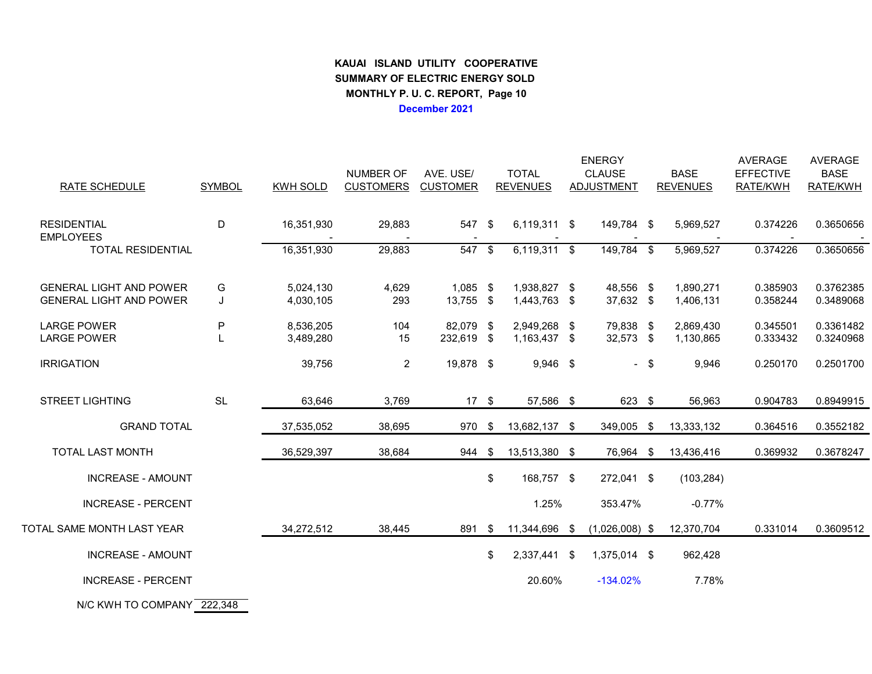# **KAUAI ISLAND UTILITY COOPERATIVE SUMMARY OF ELECTRIC ENERGY SOLD MONTHLY P. U. C. REPORT, Page 10December 2021**

| <b>RATE SCHEDULE</b>                                             | <b>SYMBOL</b> | KWH SOLD               | NUMBER OF<br><b>CUSTOMERS</b> | AVE. USE/<br><b>CUSTOMER</b> |      | <b>ENERGY</b><br><b>TOTAL</b><br><b>CLAUSE</b><br><b>REVENUES</b><br><b>ADJUSTMENT</b> |  |                        | <b>BASE</b><br><b>REVENUES</b> | <b>AVERAGE</b><br><b>EFFECTIVE</b><br>RATE/KWH | <b>AVERAGE</b><br><b>BASE</b><br>RATE/KWH |                        |
|------------------------------------------------------------------|---------------|------------------------|-------------------------------|------------------------------|------|----------------------------------------------------------------------------------------|--|------------------------|--------------------------------|------------------------------------------------|-------------------------------------------|------------------------|
| <b>RESIDENTIAL</b><br><b>EMPLOYEES</b>                           | D             | 16,351,930             | 29,883                        | 547 \$                       |      | 6,119,311 \$                                                                           |  | 149,784 \$             |                                | 5,969,527                                      | 0.374226                                  | 0.3650656              |
| <b>TOTAL RESIDENTIAL</b>                                         |               | 16,351,930             | 29,883                        | 547 \$                       |      | 6,119,311 \$                                                                           |  | 149,784 \$             |                                | 5,969,527                                      | 0.374226                                  | 0.3650656              |
| <b>GENERAL LIGHT AND POWER</b><br><b>GENERAL LIGHT AND POWER</b> | G<br>J        | 5,024,130<br>4,030,105 | 4,629<br>293                  | $1,085$ \$<br>13,755 \$      |      | 1,938,827 \$<br>1,443,763 \$                                                           |  | 48,556 \$<br>37,632 \$ |                                | 1,890,271<br>1,406,131                         | 0.385903<br>0.358244                      | 0.3762385<br>0.3489068 |
| <b>LARGE POWER</b><br><b>LARGE POWER</b>                         | P             | 8,536,205<br>3,489,280 | 104<br>15                     | 82,079 \$<br>232,619 \$      |      | 2,949,268 \$<br>1,163,437 \$                                                           |  | 79,838 \$<br>32,573 \$ |                                | 2,869,430<br>1,130,865                         | 0.345501<br>0.333432                      | 0.3361482<br>0.3240968 |
| <b>IRRIGATION</b>                                                |               | 39,756                 | $\overline{2}$                | 19,878 \$                    |      | $9,946$ \$                                                                             |  |                        | $-$ \$                         | 9,946                                          | 0.250170                                  | 0.2501700              |
| <b>STREET LIGHTING</b>                                           | <b>SL</b>     | 63,646                 | 3,769                         | $17 \quad$                   |      | 57,586 \$                                                                              |  | 623 \$                 |                                | 56,963                                         | 0.904783                                  | 0.8949915              |
| <b>GRAND TOTAL</b>                                               |               | 37,535,052             | 38,695                        | 970 \$                       |      | 13,682,137 \$                                                                          |  | 349,005 \$             |                                | 13,333,132                                     | 0.364516                                  | 0.3552182              |
| <b>TOTAL LAST MONTH</b>                                          |               | 36,529,397             | 38,684                        | 944                          | -\$  | 13,513,380 \$                                                                          |  | 76,964 \$              |                                | 13,436,416                                     | 0.369932                                  | 0.3678247              |
| <b>INCREASE - AMOUNT</b>                                         |               |                        |                               |                              | \$   | 168,757 \$                                                                             |  | 272,041 \$             |                                | (103, 284)                                     |                                           |                        |
| <b>INCREASE - PERCENT</b>                                        |               |                        |                               |                              |      | 1.25%                                                                                  |  | 353.47%                |                                | $-0.77%$                                       |                                           |                        |
| TOTAL SAME MONTH LAST YEAR                                       |               | 34,272,512             | 38,445                        | 891                          | - \$ | 11,344,696 \$                                                                          |  | $(1,026,008)$ \$       |                                | 12,370,704                                     | 0.331014                                  | 0.3609512              |
| <b>INCREASE - AMOUNT</b>                                         |               |                        |                               |                              | \$   | 2,337,441 \$                                                                           |  | 1,375,014 \$           |                                | 962,428                                        |                                           |                        |
| <b>INCREASE - PERCENT</b>                                        |               |                        |                               |                              |      | 20.60%                                                                                 |  | $-134.02%$             |                                | 7.78%                                          |                                           |                        |
| $MQ14M11$ To company 200.010                                     |               |                        |                               |                              |      |                                                                                        |  |                        |                                |                                                |                                           |                        |

N/C KWH TO COMPANY <mark>\_222,348</mark>